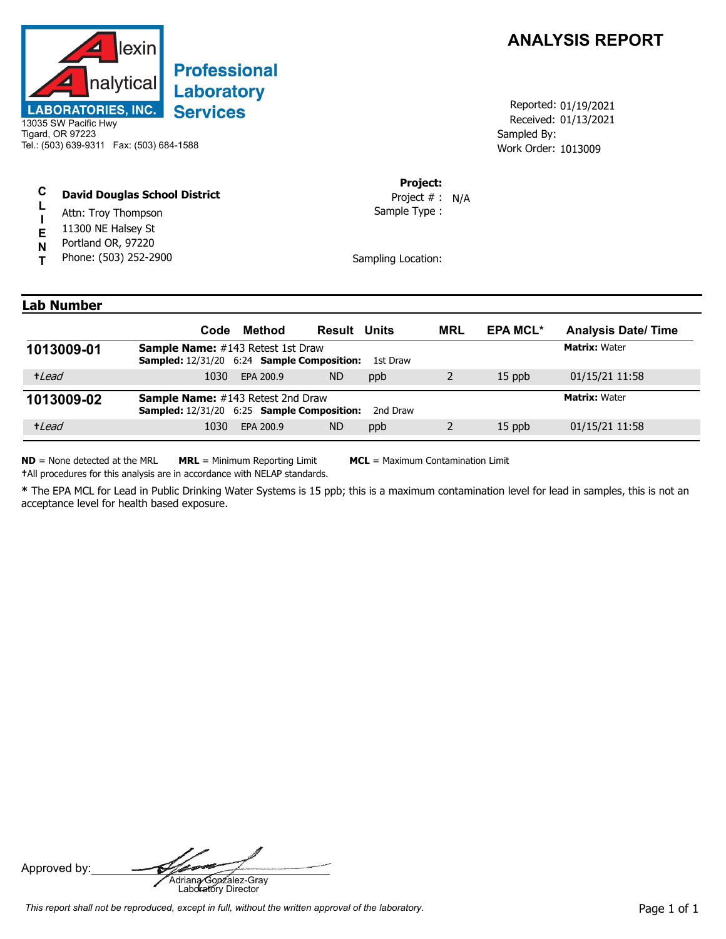

## **Professional Laboratory Services**

13035 SW Pacific Hwy Tigard, OR 97223 Tel.: (503) 639-9311 Fax: (503) 684-1588

## **C David Douglas School District**

- **L** Attn: Troy Thompson
- **I** 11300 NE Halsey St
- **E** Portland OR, 97220
- **N T** Phone: (503) 252-2900



Received: 01/13/2021 Work Order: 1013009 Reported: 01/19/2021 Sampled By:

## **Project:**

Sample Type : Project # : N/A

Sampling Location:

## **Lab Number**

|            | Code                                                                                                 | Method    | <b>Result Units</b> |          | <b>MRL</b> | <b>EPA MCL*</b> | <b>Analysis Date/Time</b> |
|------------|------------------------------------------------------------------------------------------------------|-----------|---------------------|----------|------------|-----------------|---------------------------|
| 1013009-01 | <b>Sample Name:</b> #143 Retest 1st Draw<br><b>Sampled:</b> 12/31/20 6:24 <b>Sample Composition:</b> |           |                     | 1st Draw |            |                 | <b>Matrix: Water</b>      |
| +Lead      | 1030                                                                                                 | EPA 200.9 | <b>ND</b>           | ppb      |            | $15$ ppb        | 01/15/21 11:58            |
| 1013009-02 | <b>Sample Name:</b> #143 Retest 2nd Draw<br><b>Sampled:</b> 12/31/20 6:25 <b>Sample Composition:</b> |           |                     | 2nd Draw |            |                 | <b>Matrix: Water</b>      |
| +Lead      | 1030                                                                                                 | EPA 200.9 | <b>ND</b>           | ppb      |            | 15 ppb          | 01/15/21 11:58            |

**ND** = None detected at the MRL **MRL** = Minimum Reporting Limit **MCL** = Maximum Contamination Limit **†**All procedures for this analysis are in accordance with NELAP standards.

**\*** The EPA MCL for Lead in Public Drinking Water Systems is 15 ppb; this is a maximum contamination level for lead in samples, this is not an

acceptance level for health based exposure.

Approved by: **Adriana Gonzalez-Gray**<br>Adriana Gonzalez-Gray<br>Laboratory Director